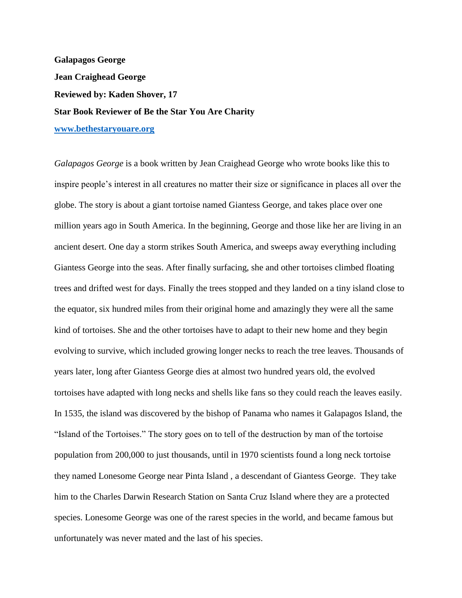**Galapagos George Jean Craighead George Reviewed by: Kaden Shover, 17 Star Book Reviewer of Be the Star You Are Charity [www.bethestaryouare.org](http://www.bethestaryouare.org/)**

*Galapagos George* is a book written by Jean Craighead George who wrote books like this to inspire people's interest in all creatures no matter their size or significance in places all over the globe. The story is about a giant tortoise named Giantess George, and takes place over one million years ago in South America. In the beginning, George and those like her are living in an ancient desert. One day a storm strikes South America, and sweeps away everything including Giantess George into the seas. After finally surfacing, she and other tortoises climbed floating trees and drifted west for days. Finally the trees stopped and they landed on a tiny island close to the equator, six hundred miles from their original home and amazingly they were all the same kind of tortoises. She and the other tortoises have to adapt to their new home and they begin evolving to survive, which included growing longer necks to reach the tree leaves. Thousands of years later, long after Giantess George dies at almost two hundred years old, the evolved tortoises have adapted with long necks and shells like fans so they could reach the leaves easily. In 1535, the island was discovered by the bishop of Panama who names it Galapagos Island, the "Island of the Tortoises." The story goes on to tell of the destruction by man of the tortoise population from 200,000 to just thousands, until in 1970 scientists found a long neck tortoise they named Lonesome George near Pinta Island , a descendant of Giantess George. They take him to the Charles Darwin Research Station on Santa Cruz Island where they are a protected species. Lonesome George was one of the rarest species in the world, and became famous but unfortunately was never mated and the last of his species.